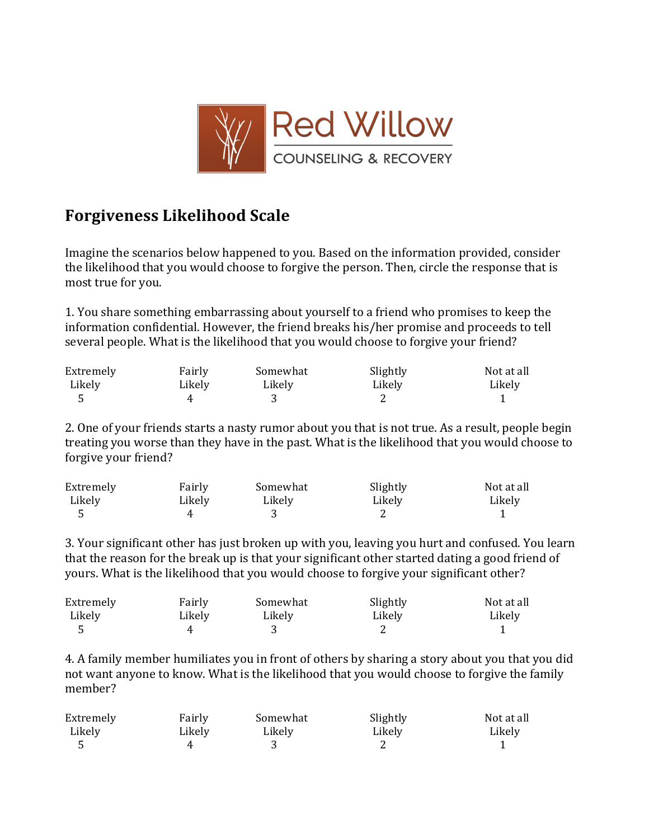

## **Forgiveness Likelihood Scale**

Imagine the scenarios below happened to you. Based on the information provided, consider the likelihood that you would choose to forgive the person. Then, circle the response that is most true for you.

1. You share something embarrassing about yourself to a friend who promises to keep the information confidential. However, the friend breaks his/her promise and proceeds to tell several people. What is the likelihood that you would choose to forgive your friend?

| Extremely | Fairly | Somewhat | Slightly | Not at all |
|-----------|--------|----------|----------|------------|
| Likely    | Likely | Likely   | Likely   | Likely     |
|           |        |          |          |            |

2. One of your friends starts a nasty rumor about you that is not true. As a result, people begin treating you worse than they have in the past. What is the likelihood that you would choose to forgive your friend?

| Extremely | Fairly | Somewhat | Slightly | Not at all |
|-----------|--------|----------|----------|------------|
| Likely    | Likely | Likely   | Likely   | Likely     |
|           |        |          |          |            |

3. Your significant other has just broken up with you, leaving you hurt and confused. You learn that the reason for the break up is that your significant other started dating a good friend of yours. What is the likelihood that you would choose to forgive your significant other?

| Extremely | Fairly | Somewhat | Slightly | Not at all |
|-----------|--------|----------|----------|------------|
| Likely    | Likely | Likely   | Likely   | Likely     |
|           |        |          |          |            |

4. A family member humiliates you in front of others by sharing a story about you that you did not want anyone to know. What is the likelihood that you would choose to forgive the family member?

| Extremely | Fairly | Somewhat | Slightly | Not at all |
|-----------|--------|----------|----------|------------|
| Likely    | Likely | Likely   | Likely   | Likely     |
|           |        |          |          |            |